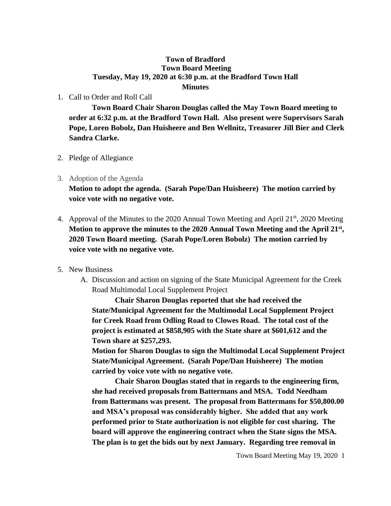## **Town of Bradford Town Board Meeting Tuesday, May 19, 2020 at 6:30 p.m. at the Bradford Town Hall Minutes**

## 1. Call to Order and Roll Call

**Town Board Chair Sharon Douglas called the May Town Board meeting to order at 6:32 p.m. at the Bradford Town Hall. Also present were Supervisors Sarah Pope, Loren Bobolz, Dan Huisheere and Ben Wellnitz, Treasurer Jill Bier and Clerk Sandra Clarke.**

- 2. Pledge of Allegiance
- 3. Adoption of the Agenda

**Motion to adopt the agenda. (Sarah Pope/Dan Huisheere) The motion carried by voice vote with no negative vote.**

- 4. Approval of the Minutes to the 2020 Annual Town Meeting and April 21<sup>st</sup>, 2020 Meeting **Motion to approve the minutes to the 2020 Annual Town Meeting and the April 21st , 2020 Town Board meeting. (Sarah Pope/Loren Bobolz) The motion carried by voice vote with no negative vote.**
- 5. New Business
	- A. Discussion and action on signing of the State Municipal Agreement for the Creek Road Multimodal Local Supplement Project

**Chair Sharon Douglas reported that she had received the State/Municipal Agreement for the Multimodal Local Supplement Project for Creek Road from Odling Road to Clowes Road. The total cost of the project is estimated at \$858,905 with the State share at \$601,612 and the Town share at \$257,293.**

**Motion for Sharon Douglas to sign the Multimodal Local Supplement Project State/Municipal Agreement. (Sarah Pope/Dan Huisheere) The motion carried by voice vote with no negative vote.**

**Chair Sharon Douglas stated that in regards to the engineering firm, she had received proposals from Battermans and MSA. Todd Needham from Battermans was present. The proposal from Battermans for \$50,800.00 and MSA's proposal was considerably higher. She added that any work performed prior to State authorization is not eligible for cost sharing. The board will approve the engineering contract when the State signs the MSA. The plan is to get the bids out by next January. Regarding tree removal in**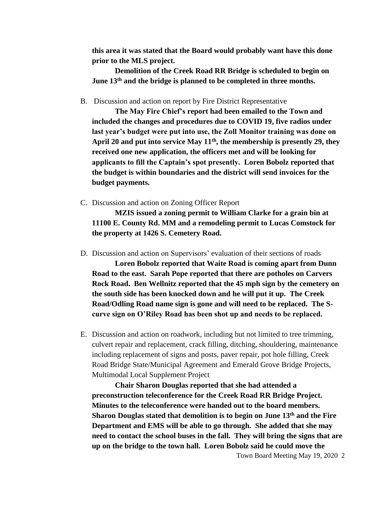**this area it was stated that the Board would probably want have this done prior to the MLS project.**

**Demolition of the Creek Road RR Bridge is scheduled to begin on June 13th and the bridge is planned to be completed in three months.**

B. Discussion and action on report by Fire District Representative

**The May Fire Chief's report had been emailed to the Town and included the changes and procedures due to COVID 19, five radios under last year's budget were put into use, the Zoll Monitor training was done on April 20 and put into service May 11th, the membership is presently 29, they received one new application, the officers met and will be looking for applicants to fill the Captain's spot presently. Loren Bobolz reported that the budget is within boundaries and the district will send invoices for the budget payments.** 

C. Discussion and action on Zoning Officer Report

**MZIS issued a zoning permit to William Clarke for a grain bin at 11100 E. County Rd. MM and a remodeling permit to Lucas Comstock for the property at 1426 S. Cemetery Road.**

D. Discussion and action on Supervisors' evaluation of their sections of roads

**Loren Bobolz reported that Waite Road is coming apart from Dunn Road to the east. Sarah Pope reported that there are potholes on Carvers Rock Road. Ben Wellnitz reported that the 45 mph sign by the cemetery on the south side has been knocked down and he will put it up. The Creek Road/Odling Road name sign is gone and will need to be replaced. The Scurve sign on O'Riley Road has been shot up and needs to be replaced.**

E. Discussion and action on roadwork, including but not limited to tree trimming, culvert repair and replacement, crack filling, ditching, shouldering, maintenance including replacement of signs and posts, paver repair, pot hole filling, Creek Road Bridge State/Municipal Agreement and Emerald Grove Bridge Projects, Multimodal Local Supplement Project

**Chair Sharon Douglas reported that she had attended a preconstruction teleconference for the Creek Road RR Bridge Project. Minutes to the teleconference were handed out to the board members. Sharon Douglas stated that demolition is to begin on June 13th and the Fire Department and EMS will be able to go through. She added that she may need to contact the school buses in the fall. They will bring the signs that are up on the bridge to the town hall. Loren Bobolz said he could move the**

Town Board Meeting May 19, 2020 2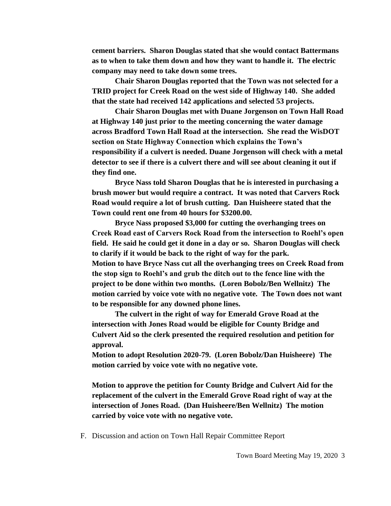**cement barriers. Sharon Douglas stated that she would contact Battermans as to when to take them down and how they want to handle it. The electric company may need to take down some trees.** 

**Chair Sharon Douglas reported that the Town was not selected for a TRID project for Creek Road on the west side of Highway 140. She added that the state had received 142 applications and selected 53 projects.** 

**Chair Sharon Douglas met with Duane Jorgenson on Town Hall Road at Highway 140 just prior to the meeting concerning the water damage across Bradford Town Hall Road at the intersection. She read the WisDOT section on State Highway Connection which explains the Town's responsibility if a culvert is needed. Duane Jorgenson will check with a metal detector to see if there is a culvert there and will see about cleaning it out if they find one.**

**Bryce Nass told Sharon Douglas that he is interested in purchasing a brush mower but would require a contract. It was noted that Carvers Rock Road would require a lot of brush cutting. Dan Huisheere stated that the Town could rent one from 40 hours for \$3200.00.**

**Bryce Nass proposed \$3,000 for cutting the overhanging trees on Creek Road east of Carvers Rock Road from the intersection to Roehl's open field. He said he could get it done in a day or so. Sharon Douglas will check to clarify if it would be back to the right of way for the park. Motion to have Bryce Nass cut all the overhanging trees on Creek Road from the stop sign to Roehl's and grub the ditch out to the fence line with the project to be done within two months. (Loren Bobolz/Ben Wellnitz) The motion carried by voice vote with no negative vote. The Town does not want to be responsible for any downed phone lines.** 

**The culvert in the right of way for Emerald Grove Road at the intersection with Jones Road would be eligible for County Bridge and Culvert Aid so the clerk presented the required resolution and petition for approval.** 

**Motion to adopt Resolution 2020-79. (Loren Bobolz/Dan Huisheere) The motion carried by voice vote with no negative vote.**

**Motion to approve the petition for County Bridge and Culvert Aid for the replacement of the culvert in the Emerald Grove Road right of way at the intersection of Jones Road. (Dan Huisheere/Ben Wellnitz) The motion carried by voice vote with no negative vote.** 

F. Discussion and action on Town Hall Repair Committee Report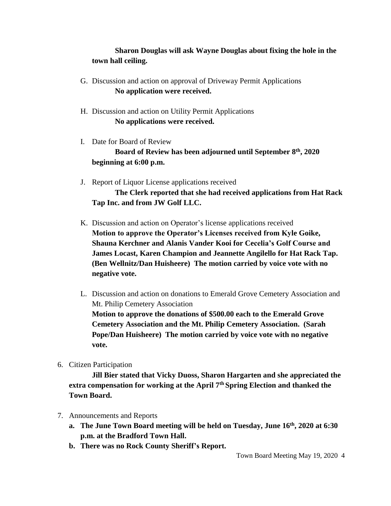## **Sharon Douglas will ask Wayne Douglas about fixing the hole in the town hall ceiling.**

- G. Discussion and action on approval of Driveway Permit Applications **No application were received.**
- H. Discussion and action on Utility Permit Applications **No applications were received.**
- I. Date for Board of Review

**Board of Review has been adjourned until September 8th, 2020 beginning at 6:00 p.m.**

- J. Report of Liquor License applications received **The Clerk reported that she had received applications from Hat Rack Tap Inc. and from JW Golf LLC.**
- K. Discussion and action on Operator's license applications received **Motion to approve the Operator's Licenses received from Kyle Goike, Shauna Kerchner and Alanis Vander Kooi for Cecelia's Golf Course and James Locast, Karen Champion and Jeannette Angilello for Hat Rack Tap. (Ben Wellnitz/Dan Huisheere) The motion carried by voice vote with no negative vote.**
- L. Discussion and action on donations to Emerald Grove Cemetery Association and Mt. Philip Cemetery Association **Motion to approve the donations of \$500.00 each to the Emerald Grove Cemetery Association and the Mt. Philip Cemetery Association. (Sarah**

**Pope/Dan Huisheere) The motion carried by voice vote with no negative vote.**

6. Citizen Participation

**Jill Bier stated that Vicky Duoss, Sharon Hargarten and she appreciated the extra compensation for working at the April 7th Spring Election and thanked the Town Board.**

- 7. Announcements and Reports
	- **a. The June Town Board meeting will be held on Tuesday, June 16th, 2020 at 6:30 p.m. at the Bradford Town Hall.**
	- **b. There was no Rock County Sheriff's Report.**

Town Board Meeting May 19, 2020 4